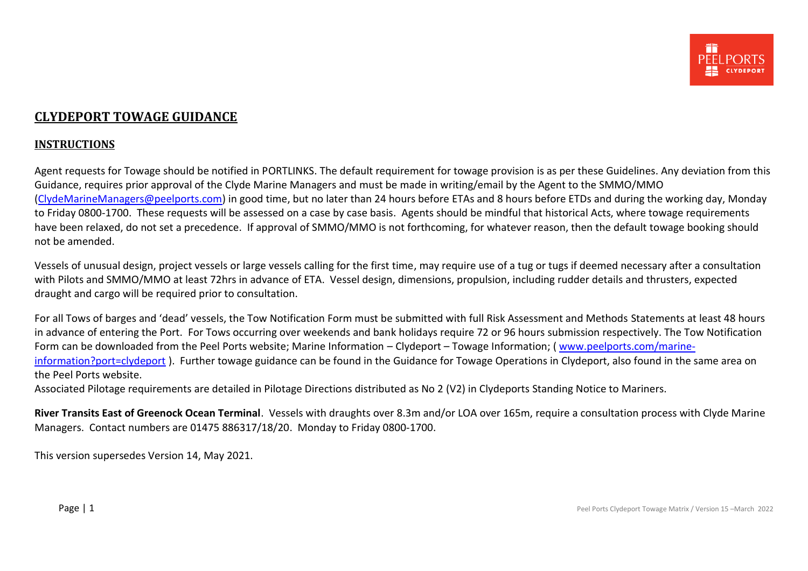### <span id="page-0-0"></span>**CLYDEPORT TOWAGE GUIDANCE**

#### **INSTRUCTIONS**

Agent requests for Towage should be notified in PORTLINKS. The default requirement for towage provision is as per these Guidelines. Any deviation from this Guidance, requires prior approval of the Clyde Marine Managers and must be made in writing/email by the Agent to the SMMO/MMO [\(ClydeMarineManagers@peelports.com\)](mailto:ClydeMarineManagers@peelports.com) in good time, but no later than 24 hours before ETAs and 8 hours before ETDs and during the working day, Monday to Friday 0800-1700. These requests will be assessed on a case by case basis. Agents should be mindful that historical Acts, where towage requirements have been relaxed, do not set a precedence. If approval of SMMO/MMO is not forthcoming, for whatever reason, then the default towage booking should not be amended.

Vessels of unusual design, project vessels or large vessels calling for the first time, may require use of a tug or tugs if deemed necessary after a consultation with Pilots and SMMO/MMO at least 72hrs in advance of ETA. Vessel design, dimensions, propulsion, including rudder details and thrusters, expected draught and cargo will be required prior to consultation.

For all Tows of barges and 'dead' vessels, the Tow Notification Form must be submitted with full Risk Assessment and Methods Statements at least 48 hours in advance of entering the Port. For Tows occurring over weekends and bank holidays require 72 or 96 hours submission respectively. The Tow Notification Form can be downloaded from the Peel Ports website; Marine Information – Clydeport – Towage Information; ( [www.peelports.com/marine](http://www.peelports.com/marine-information?port=clydeport)[information?port=clydeport](http://www.peelports.com/marine-information?port=clydeport) ). Further towage guidance can be found in the Guidance for Towage Operations in Clydeport, also found in the same area on the Peel Ports website.

Associated Pilotage requirements are detailed in Pilotage Directions distributed as No 2 (V2) in Clydeports Standing Notice to Mariners.

**River Transits East of Greenock Ocean Terminal**. Vessels with draughts over 8.3m and/or LOA over 165m, require a consultation process with Clyde Marine Managers. Contact numbers are 01475 886317/18/20. Monday to Friday 0800-1700.

This version supersedes Version 14, May 2021.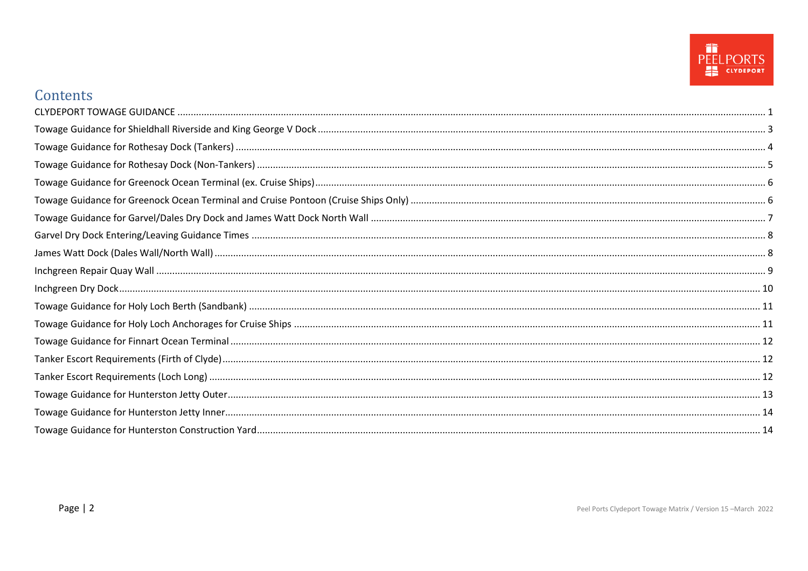

# Contents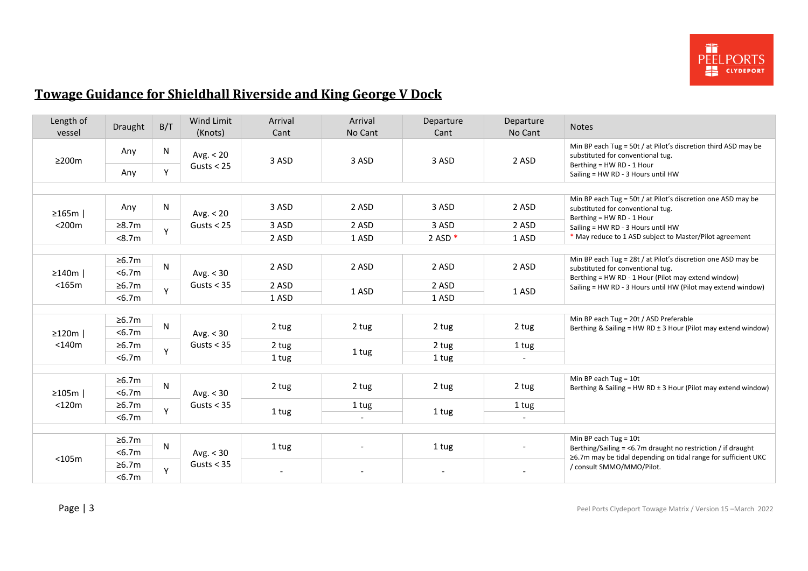

# <span id="page-2-0"></span>**Towage Guidance for Shieldhall Riverside and King George V Dock**

| Length of<br>vessel | Draught         | B/T | Wind Limit<br>(Knots) | Arrival<br>Cant | Arrival<br>No Cant                | Departure<br>Cant | Departure<br>No Cant     | <b>Notes</b>                                                                                                                   |
|---------------------|-----------------|-----|-----------------------|-----------------|-----------------------------------|-------------------|--------------------------|--------------------------------------------------------------------------------------------------------------------------------|
| $\geq$ 200m         | Any             | N   | Avg. $< 20$           | 3 ASD           | 3 ASD                             | 3 ASD             | 2 ASD                    | Min BP each Tug = 50t / at Pilot's discretion third ASD may be<br>substituted for conventional tug.                            |
|                     | Any             | Y   | Gusts $<$ 25          |                 |                                   |                   |                          | Berthing = HW RD - 1 Hour<br>Sailing = HW RD - 3 Hours until HW                                                                |
|                     |                 |     |                       |                 |                                   |                   |                          |                                                                                                                                |
| $\geq 165m$         | Any             | N   | Avg. $< 20$           | 3 ASD           | 2 ASD                             | 3 ASD             | 2 ASD                    | Min BP each Tug = 50t / at Pilot's discretion one ASD may be<br>substituted for conventional tug.<br>Berthing = HW RD - 1 Hour |
| $<$ 200 $m$         | ≥8.7m           | Y   | Gusts $<$ 25          | 3 ASD           | 2 ASD                             | 3 ASD             | 2 ASD                    | Sailing = HW RD - 3 Hours until HW                                                                                             |
|                     | < 8.7m          |     |                       | 2 ASD           | 1 ASD                             | 2 ASD $*$         | 1 ASD                    | * May reduce to 1 ASD subject to Master/Pilot agreement                                                                        |
|                     |                 |     |                       |                 |                                   |                   |                          |                                                                                                                                |
| $\geq$ 140m         | ≥6.7m<br>< 6.7m | N   | Avg. $<$ 30           | 2 ASD           | 2 ASD                             | 2 ASD             | 2 ASD                    | Min BP each Tug = 28t / at Pilot's discretion one ASD may be<br>substituted for conventional tug.                              |
| $<$ 165 $m$         | ≥6.7m           |     | Gusts $<$ 35          | 2 ASD           |                                   | 2 ASD             |                          | Berthing = HW RD - 1 Hour (Pilot may extend window)<br>Sailing = HW RD - 3 Hours until HW (Pilot may extend window)            |
|                     | < 6.7m          | Y   |                       | 1 ASD           | 1 ASD                             | 1 ASD             | 1 ASD                    |                                                                                                                                |
|                     |                 |     |                       |                 |                                   |                   |                          |                                                                                                                                |
|                     | ≥6.7m           |     |                       |                 |                                   |                   |                          | Min BP each Tug = 20t / ASD Preferable                                                                                         |
| $\geq$ 120m         | < 6.7m          | N   | Avg. $<$ 30           | 2 tug           | 2 tug                             | 2 tug             | 2 tug                    | Berthing & Sailing = HW RD ± 3 Hour (Pilot may extend window)                                                                  |
| $<$ 140 $m$         | ≥6.7m           |     | Gusts $<$ 35          | 2 tug<br>1 tug  | 1 tug                             | 2 tug             | 1 tug                    |                                                                                                                                |
|                     | < 6.7m          | Y   |                       |                 |                                   | 1 tug             | $\overline{\phantom{a}}$ |                                                                                                                                |
|                     |                 |     |                       |                 |                                   |                   |                          |                                                                                                                                |
|                     | ≥6.7m           | N   |                       |                 |                                   |                   |                          | Min BP each Tug = $10t$                                                                                                        |
| $\geq 105m$         | < 6.7m          |     | Avg. $<$ 30           | 2 tug           | 2 tug                             | 2 tug             | 2 tug                    | Berthing & Sailing = HW RD $\pm$ 3 Hour (Pilot may extend window)                                                              |
| $<$ 120 $m$         | ≥6.7m           | Y   | Gusts $<$ 35          |                 | 1 tug                             |                   | 1 tug                    |                                                                                                                                |
|                     | < 6.7m          |     |                       |                 | 1 tug<br>$\overline{\phantom{a}}$ | 1 tug             | $\overline{\phantom{a}}$ |                                                                                                                                |
|                     |                 |     |                       |                 |                                   |                   |                          |                                                                                                                                |
|                     | ≥6.7m           | N   |                       | 1 tug           |                                   | 1 tug             |                          | Min BP each Tug = $10t$                                                                                                        |
| $<$ 105 $m$         | < 6.7m          |     | Avg. $<$ 30           |                 |                                   |                   |                          | Berthing/Sailing = <6.7m draught no restriction / if draught<br>≥6.7m may be tidal depending on tidal range for sufficient UKC |
|                     | ≥6.7m           | Y   | Gusts $<$ 35          |                 |                                   |                   |                          | / consult SMMO/MMO/Pilot.                                                                                                      |
|                     | < 6.7m          |     |                       |                 |                                   |                   |                          |                                                                                                                                |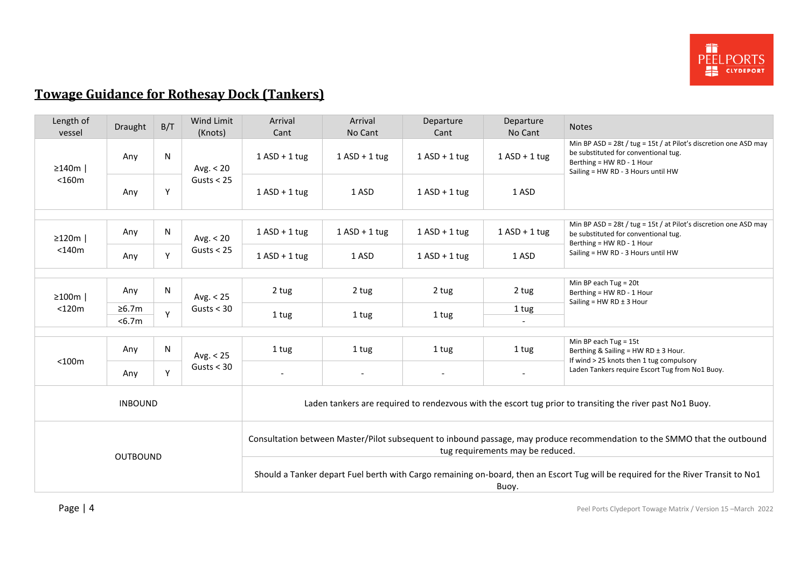

# <span id="page-3-0"></span>**Towage Guidance for Rothesay Dock (Tankers)**

| Length of<br>vessel | Draught        | B/T          | Wind Limit<br>(Knots)                                                                                                                                         | Arrival<br>Cant                                                                                                                            | Arrival<br>No Cant | Departure<br>Cant | Departure<br>No Cant | <b>Notes</b>                                                                                                                                                                |  |  |
|---------------------|----------------|--------------|---------------------------------------------------------------------------------------------------------------------------------------------------------------|--------------------------------------------------------------------------------------------------------------------------------------------|--------------------|-------------------|----------------------|-----------------------------------------------------------------------------------------------------------------------------------------------------------------------------|--|--|
| $\geq$ 140m         | Any            | N            | Avg. $< 20$<br>Gusts $<$ 25                                                                                                                                   | $1$ ASD + 1 tug                                                                                                                            | $1$ ASD + 1 tug    | $1$ ASD + 1 tug   | $1$ ASD + 1 tug      | Min BP ASD = 28t / tug = 15t / at Pilot's discretion one ASD may<br>be substituted for conventional tug.<br>Berthing = HW RD - 1 Hour<br>Sailing = HW RD - 3 Hours until HW |  |  |
| $<$ 160 $m$         | Any            | Y            |                                                                                                                                                               | $1$ ASD + 1 tug                                                                                                                            | 1 ASD              | $1$ ASD + 1 tug   | 1 ASD                |                                                                                                                                                                             |  |  |
| $\geq$ 120m         | Any            | $\mathsf{N}$ | Avg. $< 20$                                                                                                                                                   | $1$ ASD + 1 tug                                                                                                                            | $1$ ASD + 1 tug    | $1$ ASD + 1 tug   | $1$ ASD + 1 tug      | Min BP ASD = 28t / tug = 15t / at Pilot's discretion one ASD may<br>be substituted for conventional tug.<br>Berthing = HW RD - 1 Hour                                       |  |  |
| $<$ 140 $m$         | Any            | Y            | Gusts $<$ 25                                                                                                                                                  | $1$ ASD + 1 tug                                                                                                                            | 1 ASD              | $1$ ASD + 1 tug   | 1 ASD                | Sailing = HW RD - 3 Hours until HW                                                                                                                                          |  |  |
|                     |                |              |                                                                                                                                                               |                                                                                                                                            |                    |                   |                      |                                                                                                                                                                             |  |  |
| $\geq 100m$         | Any            | $\mathsf{N}$ | Avg. $< 25$                                                                                                                                                   | 2 tug                                                                                                                                      | 2 tug              | 2 tug             | 2 tug                | Min BP each Tug = $20t$<br>Berthing = HW RD - 1 Hour<br>Sailing = $HW$ RD $±$ 3 Hour                                                                                        |  |  |
| $<$ 120 $m$         | ≥6.7m          | $\mathsf{v}$ | Gusts $<$ 30                                                                                                                                                  |                                                                                                                                            |                    |                   | 1 tug                |                                                                                                                                                                             |  |  |
|                     | < 6.7m         |              |                                                                                                                                                               | 1 tug                                                                                                                                      | 1 tug              | 1 tug             |                      |                                                                                                                                                                             |  |  |
|                     |                |              |                                                                                                                                                               |                                                                                                                                            |                    |                   |                      |                                                                                                                                                                             |  |  |
| $<$ 100 $m$         | Any            | $\mathsf{N}$ | Avg. $< 25$                                                                                                                                                   | 1 tug                                                                                                                                      | 1 tug              | 1 tug             | 1 tug                | Min BP each Tug = $15t$<br>Berthing & Sailing = HW RD ± 3 Hour.<br>If wind > 25 knots then 1 tug compulsory                                                                 |  |  |
|                     | Any            | Y            | Gusts $<$ 30                                                                                                                                                  | $\blacksquare$                                                                                                                             |                    | $\overline{a}$    |                      | Laden Tankers require Escort Tug from No1 Buoy.                                                                                                                             |  |  |
|                     | <b>INBOUND</b> |              |                                                                                                                                                               | Laden tankers are required to rendezvous with the escort tug prior to transiting the river past No1 Buoy.                                  |                    |                   |                      |                                                                                                                                                                             |  |  |
|                     |                |              | Consultation between Master/Pilot subsequent to inbound passage, may produce recommendation to the SMMO that the outbound<br>tug requirements may be reduced. |                                                                                                                                            |                    |                   |                      |                                                                                                                                                                             |  |  |
| <b>OUTBOUND</b>     |                |              |                                                                                                                                                               | Should a Tanker depart Fuel berth with Cargo remaining on-board, then an Escort Tug will be required for the River Transit to No1<br>Buoy. |                    |                   |                      |                                                                                                                                                                             |  |  |

Page | 4 **Page | 4** Peel Ports Clydeport Towage Matrix / Version 15 – March 2022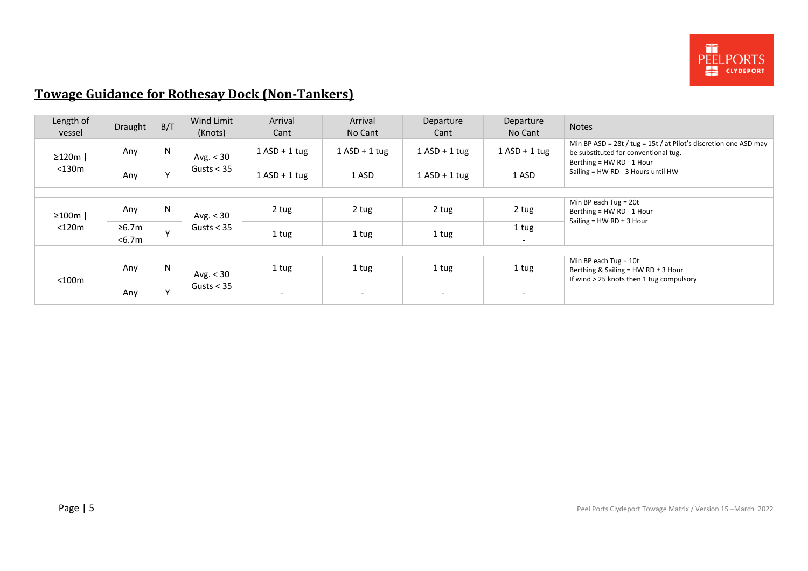

# <span id="page-4-0"></span>**Towage Guidance for Rothesay Dock (Non-Tankers)**

| Length of<br>vessel | Draught | B/T          | Wind Limit<br>(Knots)       | Arrival<br>Cant          | Arrival<br>No Cant | Departure<br>Cant        | Departure<br>No Cant     | <b>Notes</b>                                                                                                                          |
|---------------------|---------|--------------|-----------------------------|--------------------------|--------------------|--------------------------|--------------------------|---------------------------------------------------------------------------------------------------------------------------------------|
| $\geq$ 120m         | Any     | N            | Avg. $<$ 30<br>Gusts $<$ 35 | $1$ ASD + 1 tug          | $1$ ASD + 1 tug    | $1$ ASD + 1 tug          | $1$ ASD + 1 tug          | Min BP ASD = 28t / tug = 15t / at Pilot's discretion one ASD may<br>be substituted for conventional tug.<br>Berthing = HW RD - 1 Hour |
| <130m               | Any     | $\mathbf{v}$ |                             | $1$ ASD + 1 tug          | 1 ASD              | $1$ ASD + 1 tug          | 1 ASD                    | Sailing = HW RD - 3 Hours until HW                                                                                                    |
|                     |         |              |                             |                          |                    |                          |                          |                                                                                                                                       |
| $\geq 100m$         | Any     | N            | Avg. $<$ 30                 | 2 tug                    | 2 tug              | 2 tug                    | 2 tug                    | Min BP each Tug = $20t$<br>Berthing = HW RD - 1 Hour<br>Sailing = $HW$ RD $±$ 3 Hour                                                  |
| $<$ 120 $m$         | ≥6.7m   | $\mathsf{v}$ | Gusts $<$ 35                |                          |                    |                          | 1 tug                    |                                                                                                                                       |
|                     | $6.7m$  |              |                             | 1 tug<br>1 tug           | 1 tug              | $\sim$                   |                          |                                                                                                                                       |
|                     |         |              |                             |                          |                    |                          |                          |                                                                                                                                       |
| $<$ 100 $m$         | Any     | N            | Avg. $<$ 30<br>Gusts $<$ 35 | 1 tug                    | 1 tug              | 1 tug                    | 1 tug                    | Min BP each Tug = $10t$<br>Berthing & Sailing = $HW$ RD $\pm$ 3 Hour<br>If wind > 25 knots then 1 tug compulsory                      |
|                     | Any     | $\mathbf{v}$ |                             | $\overline{\phantom{0}}$ |                    | $\overline{\phantom{0}}$ | $\overline{\phantom{a}}$ |                                                                                                                                       |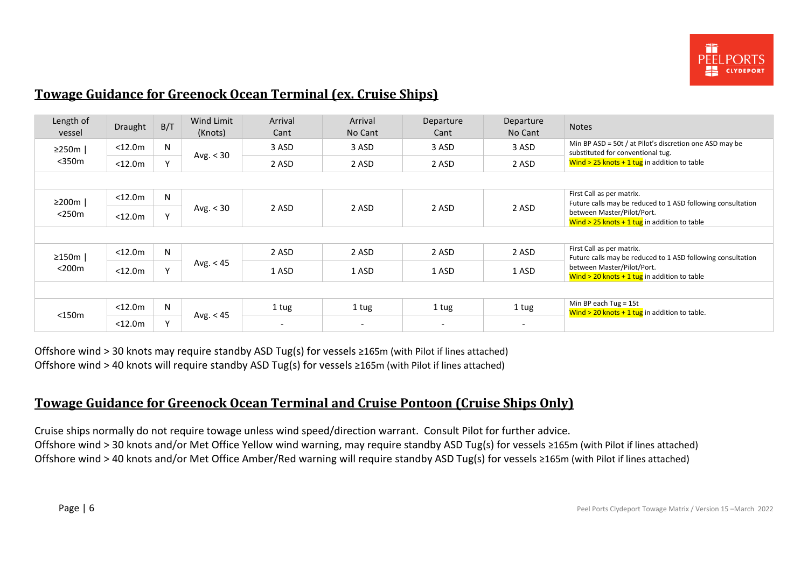

# <span id="page-5-0"></span>**Towage Guidance for Greenock Ocean Terminal (ex. Cruise Ships)**

| Length of<br>vessel | Draught           | B/T          | Wind Limit<br>(Knots) | Arrival<br>Cant          | Arrival<br>No Cant       | Departure<br>Cant        | Departure<br>No Cant     | <b>Notes</b>                                                                                 |  |  |
|---------------------|-------------------|--------------|-----------------------|--------------------------|--------------------------|--------------------------|--------------------------|----------------------------------------------------------------------------------------------|--|--|
| $\geq$ 250m         | $<$ 12.0 $m$      | N            |                       | 3 ASD                    | 3 ASD                    | 3 ASD                    | 3 ASD                    | Min BP ASD = 50t / at Pilot's discretion one ASD may be<br>substituted for conventional tug. |  |  |
| $350m$              | $<$ 12.0 $m$      | Y            | Avg. < 30             | 2 ASD                    | 2 ASD                    | 2 ASD                    | 2 ASD                    | Wind $>$ 25 knots + 1 tug in addition to table                                               |  |  |
|                     |                   |              |                       |                          |                          |                          |                          |                                                                                              |  |  |
| ≥200m               | $<$ 12.0 $m$      | N            |                       |                          |                          |                          |                          | First Call as per matrix.<br>Future calls may be reduced to 1 ASD following consultation     |  |  |
| $<$ 250 $m$         | Y<br>$<$ 12.0 $m$ |              | Avg. < 30             | 2 ASD                    | 2 ASD                    | 2 ASD                    | 2 ASD                    | between Master/Pilot/Port.<br>Wind $>$ 25 knots + 1 tug in addition to table                 |  |  |
|                     |                   |              |                       |                          |                          |                          |                          |                                                                                              |  |  |
| $\geq$ 150m         | $<$ 12.0 $m$      | N            |                       | 2 ASD                    | 2 ASD                    | 2 ASD                    | 2 ASD                    | First Call as per matrix.<br>Future calls may be reduced to 1 ASD following consultation     |  |  |
| $<$ 200 $m$         | $<$ 12.0 $m$      | $\mathsf{v}$ | Avg. $<$ 45           | 1 ASD                    | 1 ASD                    | 1 ASD                    | 1 ASD                    | between Master/Pilot/Port.<br>Wind $>$ 20 knots + 1 tug in addition to table                 |  |  |
|                     |                   |              |                       |                          |                          |                          |                          |                                                                                              |  |  |
|                     | $<$ 12.0 $m$      | N            |                       | 1 tug                    | 1 tug                    | 1 tug                    | 1 tug                    | Min BP each Tug = 15t<br>Wind $>$ 20 knots + 1 tug in addition to table.                     |  |  |
| $<$ 150 $m$         | $<$ 12.0 $m$      | $\vee$       | Avg. $<$ 45           | $\overline{\phantom{a}}$ | $\overline{\phantom{0}}$ | $\overline{\phantom{a}}$ | $\overline{\phantom{0}}$ |                                                                                              |  |  |

Offshore wind > 30 knots may require standby ASD Tug(s) for vessels ≥165m (with Pilot if lines attached) Offshore wind > 40 knots will require standby ASD Tug(s) for vessels ≥165m (with Pilot if lines attached)

### <span id="page-5-1"></span>**Towage Guidance for Greenock Ocean Terminal and Cruise Pontoon (Cruise Ships Only)**

Cruise ships normally do not require towage unless wind speed/direction warrant. Consult Pilot for further advice. Offshore wind > 30 knots and/or Met Office Yellow wind warning, may require standby ASD Tug(s) for vessels ≥165m (with Pilot if lines attached) Offshore wind > 40 knots and/or Met Office Amber/Red warning will require standby ASD Tug(s) for vessels ≥165m (with Pilot if lines attached)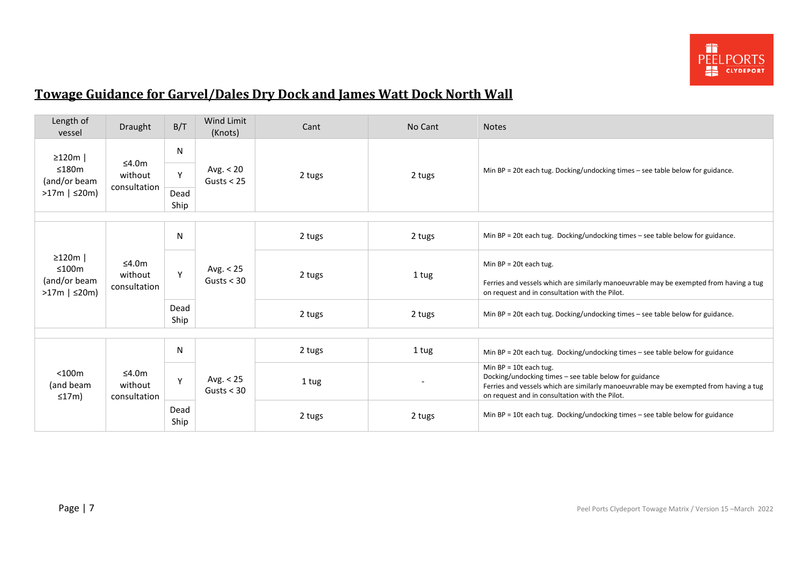

# <span id="page-6-0"></span>**Towage Guidance for Garvel/Dales Dry Dock and James Watt Dock North Wall**

| Length of<br>vessel                                            | Draught                             | B/T                    | Wind Limit<br>(Knots)       | Cant   | No Cant | <b>Notes</b>                                                                                                                                                                                                                   |
|----------------------------------------------------------------|-------------------------------------|------------------------|-----------------------------|--------|---------|--------------------------------------------------------------------------------------------------------------------------------------------------------------------------------------------------------------------------------|
| $\geq$ 120m  <br>≤180m<br>(and/or beam<br>$>17m$   $\leq$ 20m) | ≤4.0 $m$<br>without<br>consultation | N<br>Y<br>Dead<br>Ship | Avg. $< 20$<br>Gusts $<$ 25 | 2 tugs | 2 tugs  | Min BP = 20t each tug. Docking/undocking times - see table below for guidance.                                                                                                                                                 |
|                                                                |                                     |                        |                             |        |         |                                                                                                                                                                                                                                |
|                                                                |                                     | N                      | Avg. $< 25$<br>Gusts $<$ 30 | 2 tugs | 2 tugs  | Min BP = 20t each tug. Docking/undocking times - see table below for guidance.                                                                                                                                                 |
| $\geq$ 120m  <br>≤100m<br>(and/or beam<br>$>17m$   $\leq$ 20m) | ≤4.0m<br>without<br>consultation    | Y                      |                             | 2 tugs | 1 tug   | Min $BP = 20t$ each tug.<br>Ferries and vessels which are similarly manoeuvrable may be exempted from having a tug<br>on request and in consultation with the Pilot.                                                           |
|                                                                |                                     | Dead<br>Ship           |                             | 2 tugs | 2 tugs  | Min BP = 20t each tug. Docking/undocking times - see table below for guidance.                                                                                                                                                 |
|                                                                |                                     |                        |                             |        |         |                                                                                                                                                                                                                                |
|                                                                |                                     | $\mathsf{N}$           |                             | 2 tugs | 1 tug   | Min BP = 20t each tug. Docking/undocking times – see table below for guidance                                                                                                                                                  |
| $<$ 100 $m$<br>(and beam<br>≤17m)                              | ≤4.0m<br>without<br>consultation    | Y                      | Avg. $< 25$<br>Gusts $<$ 30 | 1 tug  |         | Min $BP = 10t$ each tug.<br>Docking/undocking times - see table below for guidance<br>Ferries and vessels which are similarly manoeuvrable may be exempted from having a tug<br>on request and in consultation with the Pilot. |
|                                                                |                                     | Dead<br>Ship           |                             | 2 tugs | 2 tugs  | Min BP = 10t each tug. Docking/undocking times - see table below for guidance                                                                                                                                                  |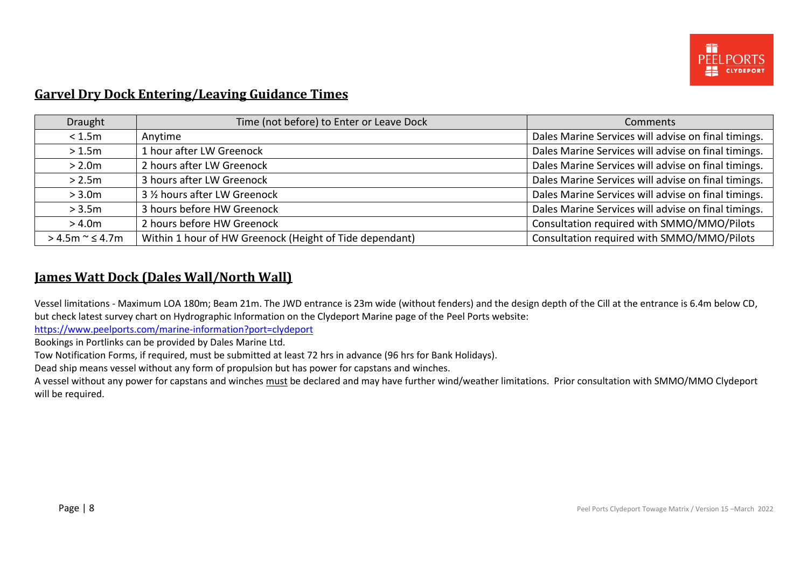

#### <span id="page-7-0"></span>**Garvel Dry Dock Entering/Leaving Guidance Times**

| Draught               | Time (not before) to Enter or Leave Dock                | Comments                                            |
|-----------------------|---------------------------------------------------------|-----------------------------------------------------|
| < 1.5m                | Anytime                                                 | Dales Marine Services will advise on final timings. |
| >1.5m                 | 1 hour after LW Greenock                                | Dales Marine Services will advise on final timings. |
| > 2.0m                | 2 hours after LW Greenock                               | Dales Marine Services will advise on final timings. |
| > 2.5m                | 3 hours after LW Greenock                               | Dales Marine Services will advise on final timings. |
| > 3.0 <sub>m</sub>    | 3 1/2 hours after LW Greenock                           | Dales Marine Services will advise on final timings. |
| > 3.5m                | 3 hours before HW Greenock                              | Dales Marine Services will advise on final timings. |
| > 4.0 <sub>m</sub>    | 2 hours before HW Greenock                              | Consultation required with SMMO/MMO/Pilots          |
| $> 4.5m \approx 4.7m$ | Within 1 hour of HW Greenock (Height of Tide dependant) | Consultation required with SMMO/MMO/Pilots          |

## <span id="page-7-1"></span>**James Watt Dock (Dales Wall/North Wall)**

Vessel limitations - Maximum LOA 180m; Beam 21m. The JWD entrance is 23m wide (without fenders) and the design depth of the Cill at the entrance is 6.4m below CD, but check latest survey chart on Hydrographic Information on the Clydeport Marine page of the Peel Ports website:

<https://www.peelports.com/marine-information?port=clydeport>

Bookings in Portlinks can be provided by Dales Marine Ltd.

Tow Notification Forms, if required, must be submitted at least 72 hrs in advance (96 hrs for Bank Holidays).

Dead ship means vessel without any form of propulsion but has power for capstans and winches.

A vessel without any power for capstans and winches must be declared and may have further wind/weather limitations. Prior consultation with SMMO/MMO Clydeport will be required.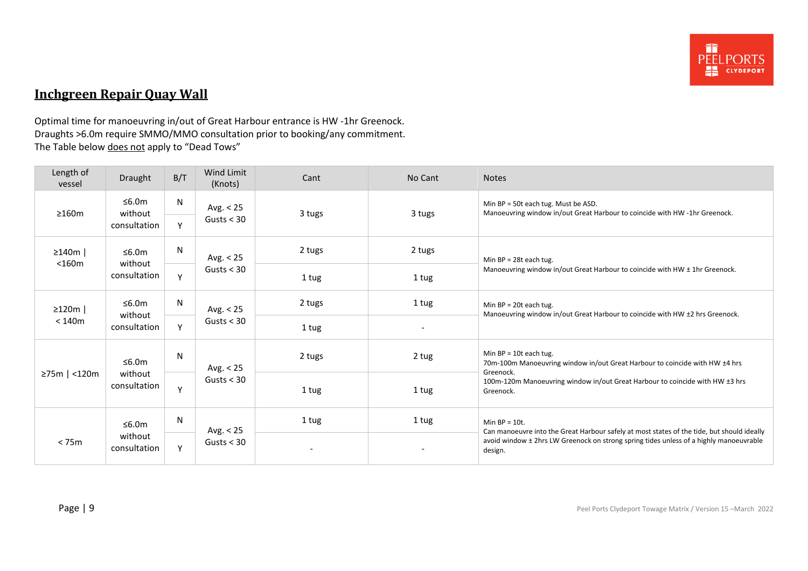

# <span id="page-8-0"></span>**Inchgreen Repair Quay Wall**

Optimal time for manoeuvring in/out of Great Harbour entrance is HW -1hr Greenock. Draughts >6.0m require SMMO/MMO consultation prior to booking/any commitment. The Table below does not apply to "Dead Tows"

| Length of<br>vessel                    | Draught                 | B/T          | Wind Limit<br>(Knots) | Cant   | No Cant                                                                                                                                                                                         | <b>Notes</b>                                                                                                         |  |
|----------------------------------------|-------------------------|--------------|-----------------------|--------|-------------------------------------------------------------------------------------------------------------------------------------------------------------------------------------------------|----------------------------------------------------------------------------------------------------------------------|--|
| $\geq 160m$                            | ≤6.0m<br>without        | N            | Avg. $< 25$           | 3 tugs | 3 tugs                                                                                                                                                                                          | Min BP = 50t each tug. Must be ASD.<br>Manoeuvring window in/out Great Harbour to coincide with HW -1hr Greenock.    |  |
|                                        | consultation            | Y            | Gusts $<$ 30          |        |                                                                                                                                                                                                 |                                                                                                                      |  |
| $\geq$ 140m                            | ≤6.0m                   | N            | Avg. $< 25$           | 2 tugs | 2 tugs                                                                                                                                                                                          | Min $BP = 28t$ each tug.                                                                                             |  |
| $<$ 160 $m$<br>without<br>consultation | Y                       | Gusts $<$ 30 | 1 tug                 | 1 tug  | Manoeuvring window in/out Great Harbour to coincide with HW ± 1hr Greenock.                                                                                                                     |                                                                                                                      |  |
| $\geq$ 120m                            | ≤6.0m                   | N            | Avg. $< 25$           | 2 tugs | 1 tug                                                                                                                                                                                           | Min $BP = 20t$ each tug.<br>Manoeuvring window in/out Great Harbour to coincide with HW ±2 hrs Greenock.             |  |
| < 140m                                 | without<br>consultation | Y            | Gusts $<$ 30          | 1 tug  | $\overline{\phantom{a}}$                                                                                                                                                                        |                                                                                                                      |  |
|                                        | ≤6.0m                   | N            | Avg. $< 25$           | 2 tugs | 2 tug                                                                                                                                                                                           | Min $BP = 10t$ each tug.<br>70m-100m Manoeuvring window in/out Great Harbour to coincide with HW ±4 hrs<br>Greenock. |  |
| $≥75m$   <120m<br>without              | consultation            | Y            | Gusts $<$ 30          | 1 tug  | 1 tug                                                                                                                                                                                           | 100m-120m Manoeuvring window in/out Great Harbour to coincide with HW ±3 hrs<br>Greenock.                            |  |
|                                        | ≤6.0m                   | N            | Avg. $< 25$           | 1 tug  | 1 tug                                                                                                                                                                                           | Min $BP = 10t$ .                                                                                                     |  |
| without<br>< 75m<br>consultation       | Y                       | Gusts $<$ 30 |                       |        | Can manoeuvre into the Great Harbour safely at most states of the tide, but should ideally<br>avoid window ± 2hrs LW Greenock on strong spring tides unless of a highly manoeuvrable<br>design. |                                                                                                                      |  |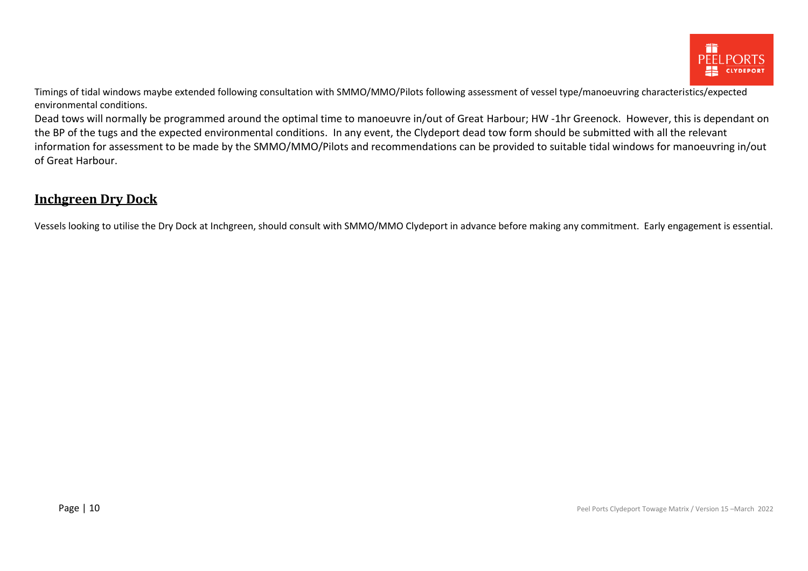

Timings of tidal windows maybe extended following consultation with SMMO/MMO/Pilots following assessment of vessel type/manoeuvring characteristics/expected environmental conditions.

Dead tows will normally be programmed around the optimal time to manoeuvre in/out of Great Harbour; HW -1hr Greenock. However, this is dependant on the BP of the tugs and the expected environmental conditions. In any event, the Clydeport dead tow form should be submitted with all the relevant information for assessment to be made by the SMMO/MMO/Pilots and recommendations can be provided to suitable tidal windows for manoeuvring in/out of Great Harbour.

#### <span id="page-9-0"></span>**Inchgreen Dry Dock**

Vessels looking to utilise the Dry Dock at Inchgreen, should consult with SMMO/MMO Clydeport in advance before making any commitment. Early engagement is essential.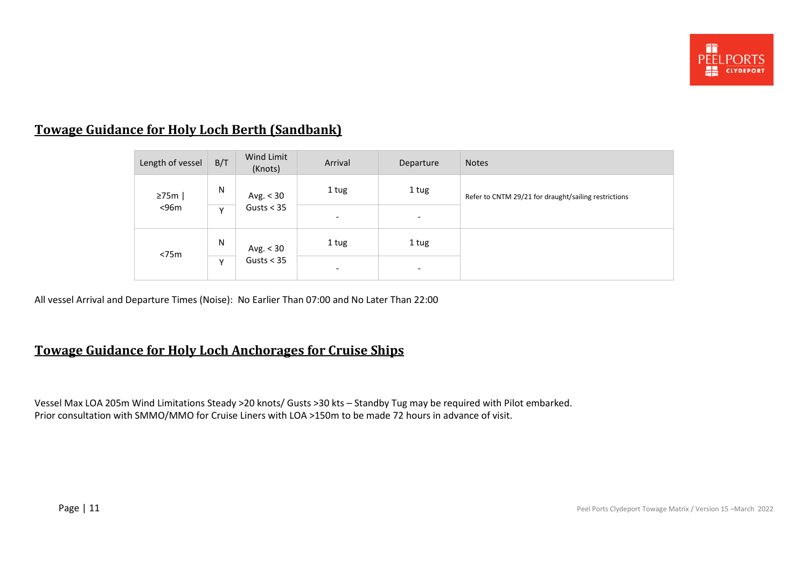

# <span id="page-10-0"></span>**Towage Guidance for Holy Loch Berth (Sandbank)**

| Length of vessel | B/T       | Wind Limit<br>(Knots)       | Arrival                  | Departure                | <b>Notes</b>                                         |
|------------------|-----------|-----------------------------|--------------------------|--------------------------|------------------------------------------------------|
| 275m             | ${\sf N}$ | Avg. $<$ 30<br>Gusts $<$ 35 | 1 tug                    | 1 tug                    | Refer to CNTM 29/21 for draught/sailing restrictions |
| $<$ 96 $m$       | v         |                             | $\overline{\phantom{a}}$ | $\overline{\phantom{a}}$ |                                                      |
| $<$ 75 $m$       | N         | Avg. $<$ 30                 | 1 tug                    | 1 tug                    |                                                      |
|                  | Y         | Gusts $<$ 35                | $\overline{\phantom{a}}$ | $\overline{\phantom{a}}$ |                                                      |

All vessel Arrival and Departure Times (Noise): No Earlier Than 07:00 and No Later Than 22:00

### <span id="page-10-1"></span>**Towage Guidance for Holy Loch Anchorages for Cruise Ships**

Vessel Max LOA 205m Wind Limitations Steady >20 knots/ Gusts >30 kts – Standby Tug may be required with Pilot embarked. Prior consultation with SMMO/MMO for Cruise Liners with LOA >150m to be made 72 hours in advance of visit.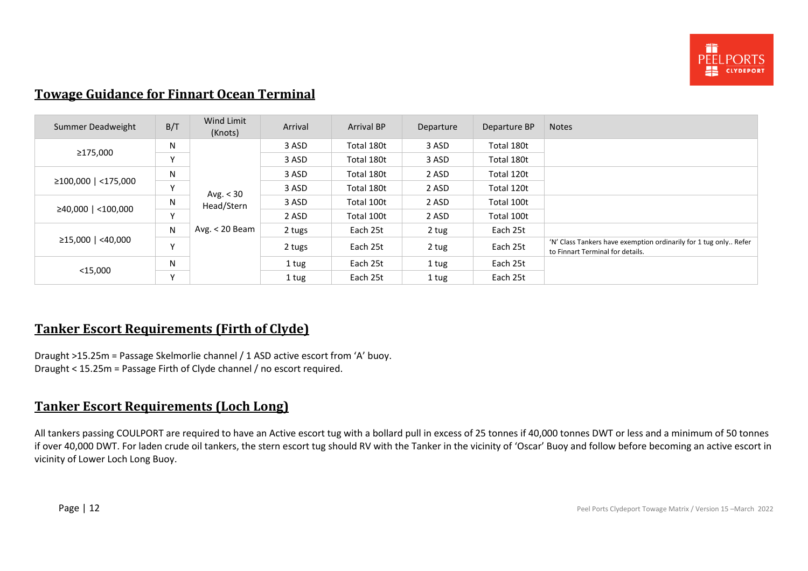

### <span id="page-11-0"></span>**Towage Guidance for Finnart Ocean Terminal**

| Summer Deadweight   | B/T          | Wind Limit<br>(Knots) | Arrival | <b>Arrival BP</b> | Departure | Departure BP | <b>Notes</b>                                                                                         |
|---------------------|--------------|-----------------------|---------|-------------------|-----------|--------------|------------------------------------------------------------------------------------------------------|
|                     | N            |                       | 3 ASD   | Total 180t        | 3 ASD     | Total 180t   |                                                                                                      |
| ≥175,000            | $\vee$       |                       | 3 ASD   | Total 180t        | 3 ASD     | Total 180t   |                                                                                                      |
|                     | N            |                       | 3 ASD   | Total 180t        | 2 ASD     | Total 120t   |                                                                                                      |
| ≥100,000   <175,000 | $\mathsf{v}$ | Avg. $<$ 30           | 3 ASD   | Total 180t        | 2 ASD     | Total 120t   |                                                                                                      |
|                     | N            | Head/Stern            | 3 ASD   | Total 100t        | 2 ASD     | Total 100t   |                                                                                                      |
| ≥40,000   <100,000  | v            |                       | 2 ASD   | Total 100t        | 2 ASD     | Total 100t   |                                                                                                      |
|                     | N            | Avg. $<$ 20 Beam      | 2 tugs  | Each 25t          | 2 tug     | Each 25t     |                                                                                                      |
| ≥15,000   <40,000   | $\checkmark$ |                       | 2 tugs  | Each 25t          | 2 tug     | Each 25t     | 'N' Class Tankers have exemption ordinarily for 1 tug only Refer<br>to Finnart Terminal for details. |
|                     | N            |                       | 1 tug   | Each 25t          | 1 tug     | Each 25t     |                                                                                                      |
| $<$ 15,000          | $\vee$       |                       | 1 tug   | Each 25t          | 1 tug     | Each 25t     |                                                                                                      |

### <span id="page-11-1"></span>**Tanker Escort Requirements (Firth of Clyde)**

Draught >15.25m = Passage Skelmorlie channel / 1 ASD active escort from 'A' buoy. Draught < 15.25m = Passage Firth of Clyde channel / no escort required.

### <span id="page-11-2"></span>**Tanker Escort Requirements (Loch Long)**

All tankers passing COULPORT are required to have an Active escort tug with a bollard pull in excess of 25 tonnes if 40,000 tonnes DWT or less and a minimum of 50 tonnes if over 40,000 DWT. For laden crude oil tankers, the stern escort tug should RV with the Tanker in the vicinity of 'Oscar' Buoy and follow before becoming an active escort in vicinity of Lower Loch Long Buoy.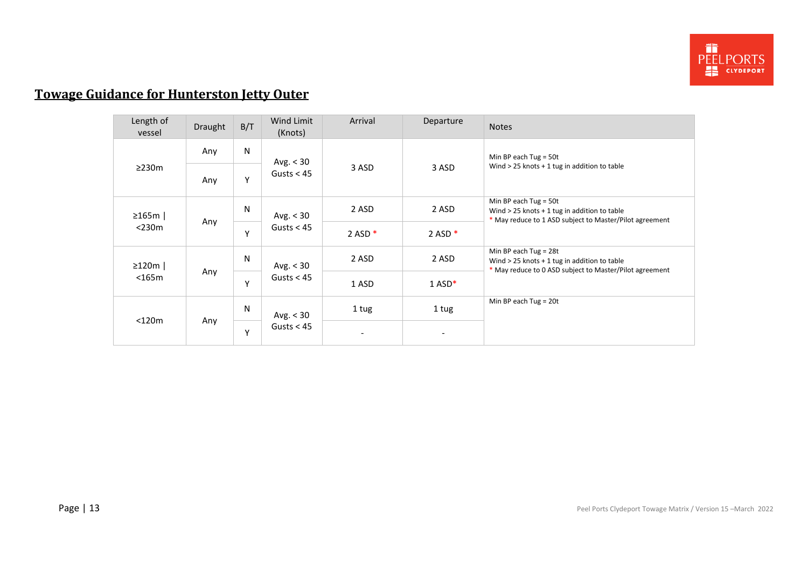

# <span id="page-12-0"></span>**Towage Guidance for Hunterston Jetty Outer**

| Length of<br>vessel | <b>Draught</b> | B/T    | Wind Limit<br>(Knots)       | Arrival   | Departure            | <b>Notes</b>                                                                                                                         |
|---------------------|----------------|--------|-----------------------------|-----------|----------------------|--------------------------------------------------------------------------------------------------------------------------------------|
|                     | Any            | N      | Avg. $<$ 30<br>Gusts $<$ 45 | 3 ASD     | 3 ASD                | Min BP each Tug = $50t$                                                                                                              |
| $\geq$ 230m<br>Any  |                | Υ      |                             |           |                      | Wind $>$ 25 knots + 1 tug in addition to table                                                                                       |
| $\geq$ 165m         |                | N<br>Y | Avg. $<$ 30<br>Gusts $<$ 45 | 2 ASD     | 2 ASD                | Min BP each Tug = $50t$<br>Wind $>$ 25 knots + 1 tug in addition to table<br>* May reduce to 1 ASD subject to Master/Pilot agreement |
| $<$ 230 $m$         | Any            |        |                             | 2 ASD $*$ | 2 ASD $*$            |                                                                                                                                      |
| $\geq$ 120m         |                | N      | Avg. $<$ 30<br>Gusts $<$ 45 | 2 ASD     | 2 ASD                | Min BP each Tug = $28t$<br>Wind $>$ 25 knots + 1 tug in addition to table<br>* May reduce to 0 ASD subject to Master/Pilot agreement |
| $<$ 165 $m$         | Any            | Y      |                             | 1 ASD     | $1$ ASD <sup>*</sup> |                                                                                                                                      |
| $<$ 120 $m$         | Any            | N<br>Y | Avg. $<$ 30<br>Gusts $<$ 45 | 1 tug     | 1 tug                | Min BP each Tug = $20t$                                                                                                              |
|                     |                |        |                             |           |                      |                                                                                                                                      |